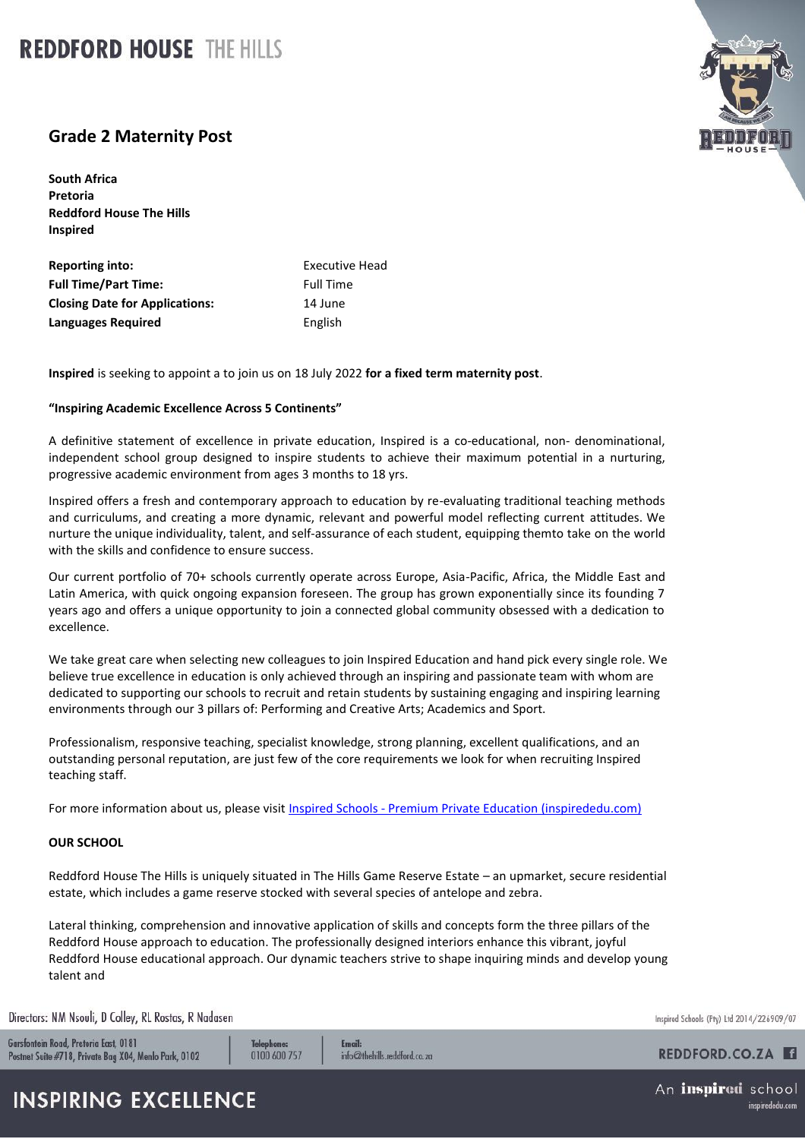# **Grade 2 Maternity Post**

**South Africa Pretoria Reddford House The Hills Inspired**

**Reporting into:** Executive Head **Full Time/Part Time:** Full Time **Closing Date for Applications:** 14 June **Languages Required** English

**Inspired** is seeking to appoint a to join us on 18 July 2022 **for a fixed term maternity post**.

### **"Inspiring Academic Excellence Across 5 Continents"**

A definitive statement of excellence in private education, Inspired is a co-educational, non- denominational, independent school group designed to inspire students to achieve their maximum potential in a nurturing, progressive academic environment from ages 3 months to 18 yrs.

Inspired offers a fresh and contemporary approach to education by re-evaluating traditional teaching methods and curriculums, and creating a more dynamic, relevant and powerful model reflecting current attitudes. We nurture the unique individuality, talent, and self-assurance of each student, equipping themto take on the world with the skills and confidence to ensure success.

Our current portfolio of 70+ schools currently operate across Europe, Asia-Pacific, Africa, the Middle East and Latin America, with quick ongoing expansion foreseen. The group has grown exponentially since its founding 7 years ago and offers a unique opportunity to join a connected global community obsessed with a dedication to excellence.

We take great care when selecting new colleagues to join Inspired Education and hand pick every single role. We believe true excellence in education is only achieved through an inspiring and passionate team with whom are dedicated to supporting our schools to recruit and retain students by sustaining engaging and inspiring learning environments through our 3 pillars of: Performing and Creative Arts; Academics and Sport.

Professionalism, responsive teaching, specialist knowledge, strong planning, excellent qualifications, and an outstanding personal reputation, are just few of the core requirements we look for when recruiting Inspired teaching staff.

For more information about us, please visit Inspired Schools - [Premium Private Education \(inspirededu.com\)](https://inspirededu.com/our-schools)

### **OUR SCHOOL**

Reddford House The Hills is uniquely situated in The Hills Game Reserve Estate – an upmarket, secure residential estate, which includes a game reserve stocked with several species of antelope and zebra.

Lateral thinking, comprehension and innovative application of skills and concepts form the three pillars of the Reddford House approach to education. The professionally designed interiors enhance this vibrant, joyful Reddford House educational approach. Our dynamic teachers strive to shape inquiring minds and develop young talent and

Directors: NM Nsouli, D Colley, RL Rostas, R Nadasen

Garsfontein Road, Pretoria East, 0181 Postnet Suite #718, Private Bag X04, Menlo Park, 0102

Telephone 0100 600 757

info@thehills.reddford.co.za

Inspired Schools (Pty) Ltd 2014/226909/07

REDDFORD.CO.ZA 1

An **inspired** school inspirededu.com



# **INSPIRING EXCELLENCE**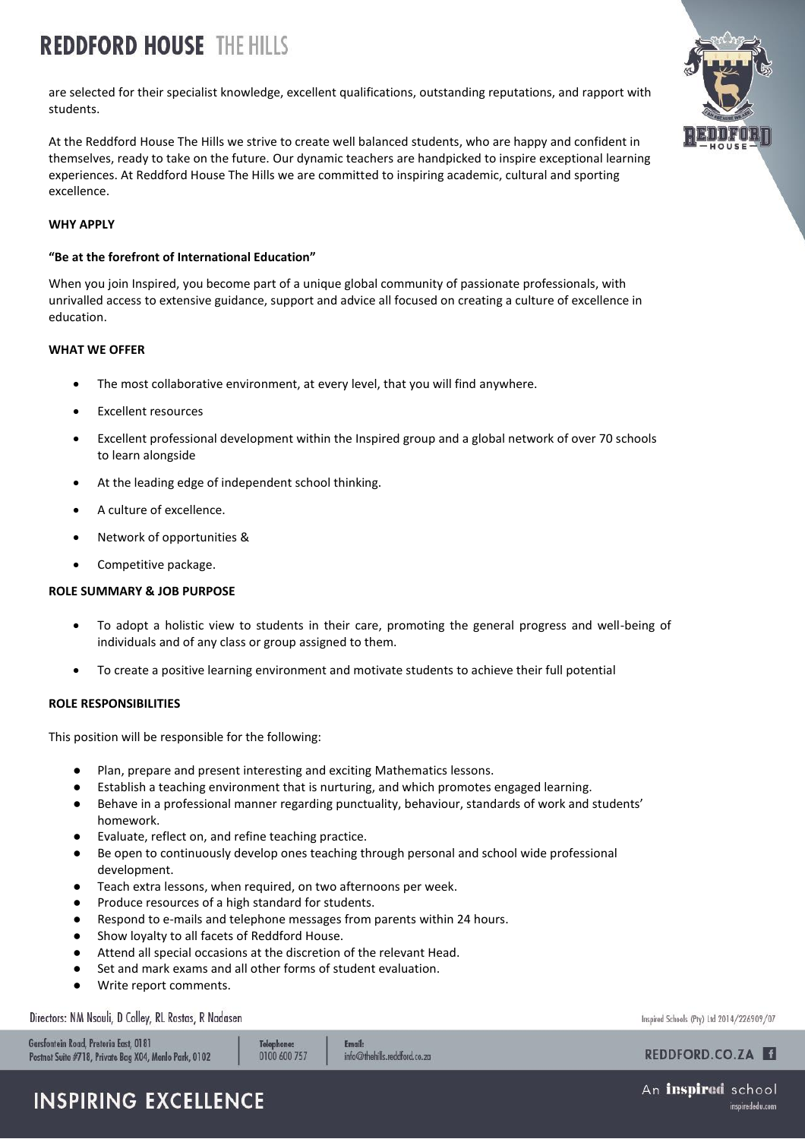are selected for their specialist knowledge, excellent qualifications, outstanding reputations, and rapport with students.

At the Reddford House The Hills we strive to create well balanced students, who are happy and confident in themselves, ready to take on the future. Our dynamic teachers are handpicked to inspire exceptional learning experiences. At Reddford House The Hills we are committed to inspiring academic, cultural and sporting excellence.

### **WHY APPLY**

### **"Be at the forefront of International Education"**

When you join Inspired, you become part of a unique global community of passionate professionals, with unrivalled access to extensive guidance, support and advice all focused on creating a culture of excellence in education.

### **WHAT WE OFFER**

- The most collaborative environment, at every level, that you will find anywhere.
- Excellent resources
- Excellent professional development within the Inspired group and a global network of over 70 schools to learn alongside
- At the leading edge of independent school thinking.
- A culture of excellence.
- Network of opportunities &
- Competitive package.

### **ROLE SUMMARY & JOB PURPOSE**

- To adopt a holistic view to students in their care, promoting the general progress and well-being of individuals and of any class or group assigned to them.
- To create a positive learning environment and motivate students to achieve their full potential

### **ROLE RESPONSIBILITIES**

This position will be responsible for the following:

- Plan, prepare and present interesting and exciting Mathematics lessons.
- Establish a teaching environment that is nurturing, and which promotes engaged learning.
- Behave in a professional manner regarding punctuality, behaviour, standards of work and students' homework.
- Evaluate, reflect on, and refine teaching practice.
- Be open to continuously develop ones teaching through personal and school wide professional development.
- Teach extra lessons, when required, on two afternoons per week.
- Produce resources of a high standard for students.
- Respond to e-mails and telephone messages from parents within 24 hours.
- Show loyalty to all facets of Reddford House.
- Attend all special occasions at the discretion of the relevant Head.
- Set and mark exams and all other forms of student evaluation.
- Write report comments.

**INSPIRING EXCELLENCE** 

### Directors: NM Nsouli, D Colley, RL Rostas, R Nadasen

Garsfontein Road, Pretoria East, 0181 Postnet Suite #718, Private Bag X04, Menlo Park, 0102

Telephone 0100 600 757 Fmailinfo@thehills.reddford.co.za Inspired Schools (Pty) Ltd 2014/226909/07

REDDFORD.CO.ZA

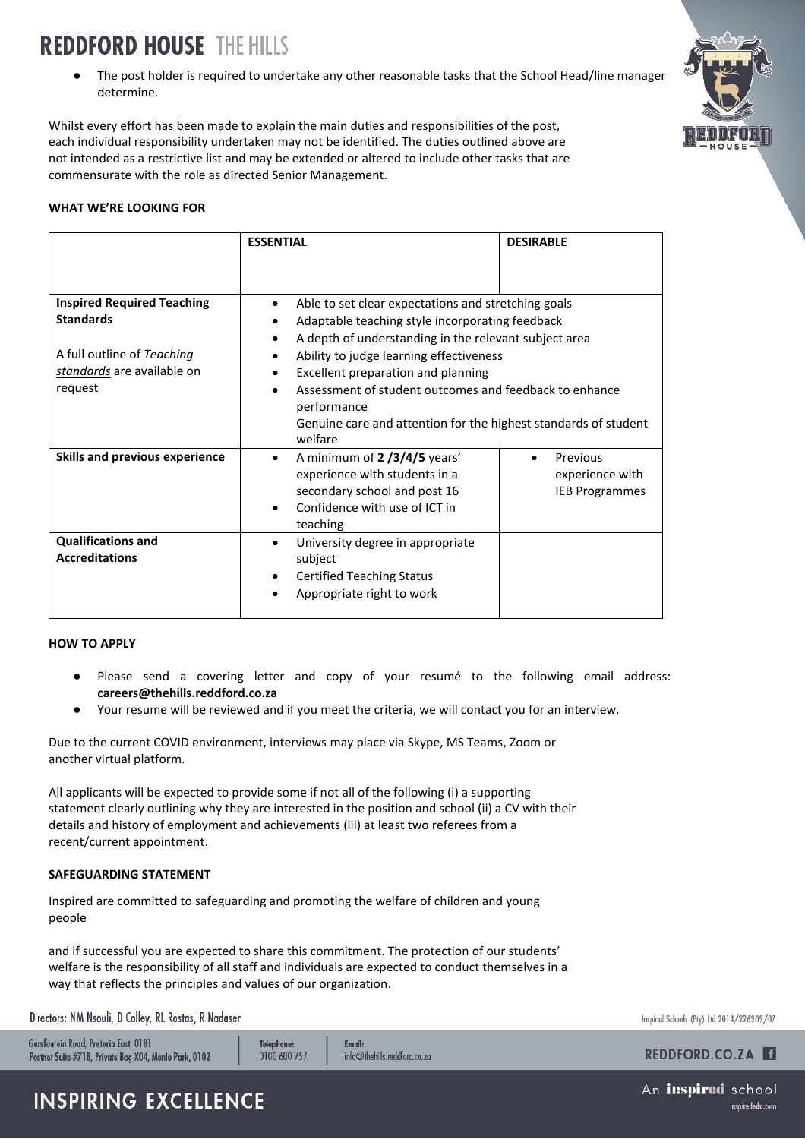The post holder is required to undertake any other reasonable tasks that the School Head/line manager determine.

Whilst every effort has been made to explain the main duties and responsibilities of the post, each individual responsibility undertaken may not be identified. The duties outlined above are not intended as a restrictive list and may be extended or altered to include other tasks that are commensurate with the role as directed Senior Management.

### **WHAT WE'RE LOOKING FOR**

|                                                                                                                              | <b>ESSENTIAL</b>                                                                                                                                                                                                                                                                                                                                                                                                               | <b>DESIRABLE</b>                                     |
|------------------------------------------------------------------------------------------------------------------------------|--------------------------------------------------------------------------------------------------------------------------------------------------------------------------------------------------------------------------------------------------------------------------------------------------------------------------------------------------------------------------------------------------------------------------------|------------------------------------------------------|
|                                                                                                                              |                                                                                                                                                                                                                                                                                                                                                                                                                                |                                                      |
| <b>Inspired Required Teaching</b><br><b>Standards</b><br>A full outline of Teaching<br>standards are available on<br>request | Able to set clear expectations and stretching goals<br>٠<br>Adaptable teaching style incorporating feedback<br>$\bullet$<br>A depth of understanding in the relevant subject area<br>٠<br>Ability to judge learning effectiveness<br>Excellent preparation and planning<br>Assessment of student outcomes and feedback to enhance<br>performance<br>Genuine care and attention for the highest standards of student<br>welfare |                                                      |
| Skills and previous experience                                                                                               | A minimum of 2/3/4/5 years'<br>٠<br>experience with students in a<br>secondary school and post 16<br>Confidence with use of ICT in<br>teaching                                                                                                                                                                                                                                                                                 | Previous<br>experience with<br><b>IEB Programmes</b> |
| <b>Qualifications and</b><br><b>Accreditations</b>                                                                           | University degree in appropriate<br>$\bullet$<br>subject<br><b>Certified Teaching Status</b><br>Appropriate right to work                                                                                                                                                                                                                                                                                                      |                                                      |

### **HOW TO APPLY**

- Please send a covering letter and copy of your resumé to the following email address: **careers@thehills.reddford.co.za**
- Your resume will be reviewed and if you meet the criteria, we will contact you for an interview.

Due to the current COVID environment, interviews may place via Skype, MS Teams, Zoom or another virtual platform.

All applicants will be expected to provide some if not all of the following (i) a supporting statement clearly outlining why they are interested in the position and school (ii) a CV with their details and history of employment and achievements (iii) at least two referees from a recent/current appointment.

### **SAFEGUARDING STATEMENT**

Inspired are committed to safeguarding and promoting the welfare of children and young people

and if successful you are expected to share this commitment. The protection of our students' welfare is the responsibility of all staff and individuals are expected to conduct themselves in a way that reflects the principles and values of our organization.

Directors: NM Nsouli, D Colley, RL Rostas, R Nadasen

Garsfontein Road, Pretoria East, 0181 Postnet Suite #718, Private Bag X04, Menlo Park, 0102

**Telephone:** 0100 600 757 Fmailinfo@thehills.reddford.co.za Inspired Schools (Pty) Ltd 2014/226909/07

REDDFORD.CO.ZA

An **inspired** school inspirededu.com

**INSPIRING EXCELLENCE**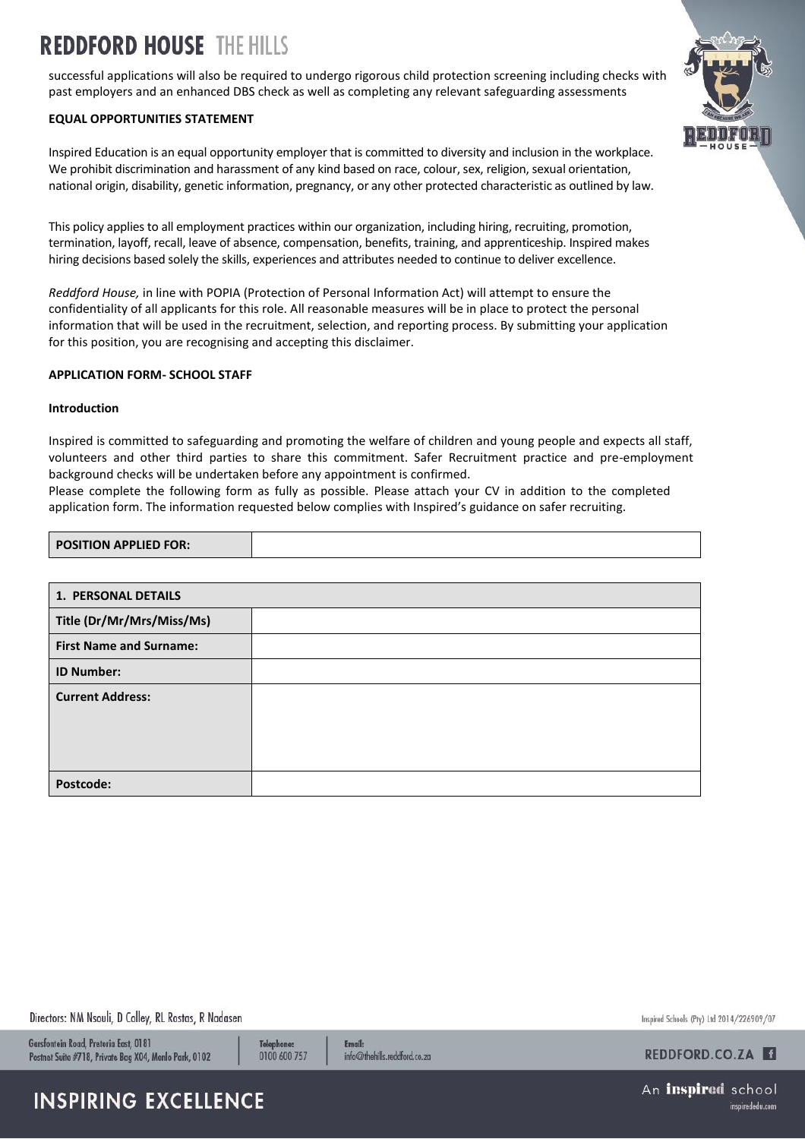successful applications will also be required to undergo rigorous child protection screening including checks with past employers and an enhanced DBS check as well as completing any relevant safeguarding assessments

### **EQUAL OPPORTUNITIES STATEMENT**

Inspired Education is an equal opportunity employer that is committed to diversity and inclusion in the workplace. We prohibit discrimination and harassment of any kind based on race, colour, sex, religion, sexual orientation, national origin, disability, genetic information, pregnancy, or any other protected characteristic as outlined by law.

This policy applies to all employment practices within our organization, including hiring, recruiting, promotion, termination, layoff, recall, leave of absence, compensation, benefits, training, and apprenticeship. Inspired makes hiring decisions based solely the skills, experiences and attributes needed to continue to deliver excellence.

*Reddford House,* in line with POPIA (Protection of Personal Information Act) will attempt to ensure the confidentiality of all applicants for this role. All reasonable measures will be in place to protect the personal information that will be used in the recruitment, selection, and reporting process. By submitting your application for this position, you are recognising and accepting this disclaimer.

### **APPLICATION FORM- SCHOOL STAFF**

### **Introduction**

Inspired is committed to safeguarding and promoting the welfare of children and young people and expects all staff, volunteers and other third parties to share this commitment. Safer Recruitment practice and pre-employment background checks will be undertaken before any appointment is confirmed.

Please complete the following form as fully as possible. Please attach your CV in addition to the completed application form. The information requested below complies with Inspired's guidance on safer recruiting.

| <b>POSITION APPLIED FOR:</b> |
|------------------------------|
|------------------------------|

| 1. PERSONAL DETAILS            |  |  |
|--------------------------------|--|--|
| Title (Dr/Mr/Mrs/Miss/Ms)      |  |  |
| <b>First Name and Surname:</b> |  |  |
| <b>ID Number:</b>              |  |  |
| <b>Current Address:</b>        |  |  |
|                                |  |  |
|                                |  |  |
|                                |  |  |
| <b>Postcode:</b>               |  |  |



Inspired Schools (Pty) Ltd 2014/226909/07



REDDFORD.CO.ZA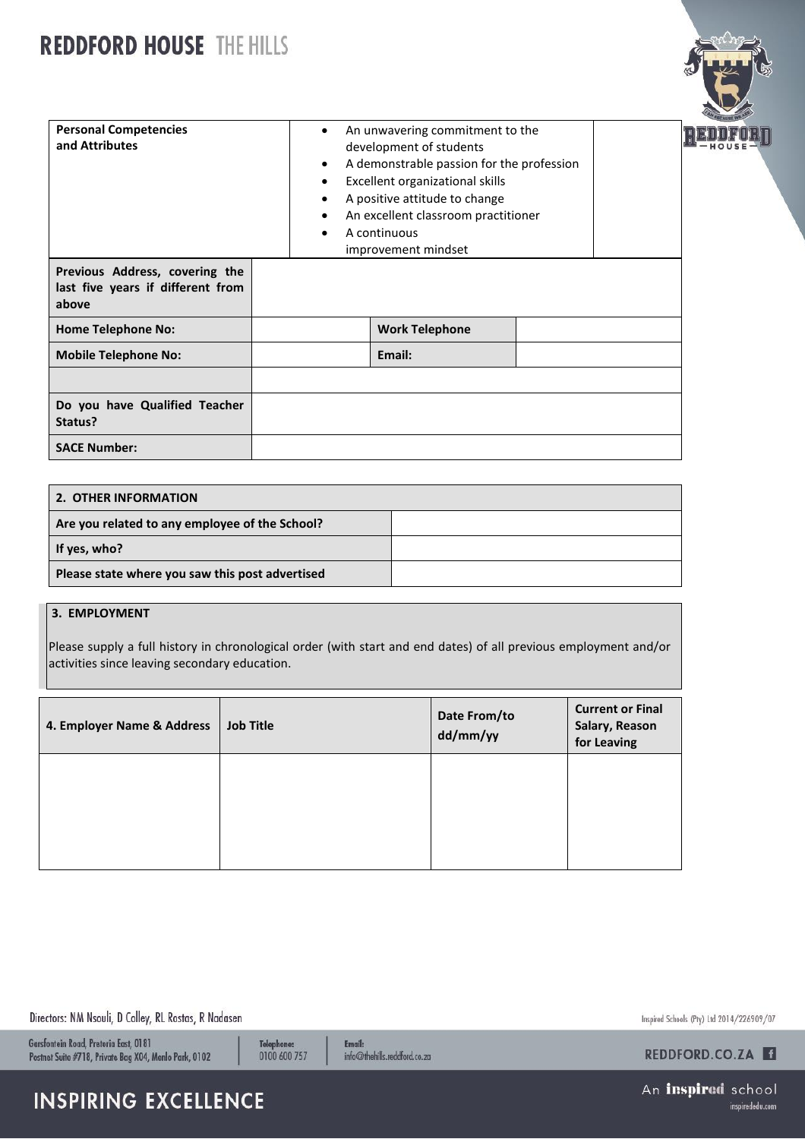| <b>Personal Competencies</b><br>and Attributes                               | $\bullet$<br>$\bullet$<br>٠<br>$\bullet$ | An unwavering commitment to the<br>development of students<br>A demonstrable passion for the profession<br>Excellent organizational skills<br>A positive attitude to change<br>An excellent classroom practitioner<br>A continuous<br>improvement mindset |  |
|------------------------------------------------------------------------------|------------------------------------------|-----------------------------------------------------------------------------------------------------------------------------------------------------------------------------------------------------------------------------------------------------------|--|
| Previous Address, covering the<br>last five years if different from<br>above |                                          |                                                                                                                                                                                                                                                           |  |
| <b>Home Telephone No:</b>                                                    |                                          | <b>Work Telephone</b>                                                                                                                                                                                                                                     |  |
| <b>Mobile Telephone No:</b>                                                  |                                          | Email:                                                                                                                                                                                                                                                    |  |
|                                                                              |                                          |                                                                                                                                                                                                                                                           |  |
| Do you have Qualified Teacher<br>Status?                                     |                                          |                                                                                                                                                                                                                                                           |  |
| <b>SACE Number:</b>                                                          |                                          |                                                                                                                                                                                                                                                           |  |

| 2. OTHER INFORMATION                            |  |  |
|-------------------------------------------------|--|--|
| Are you related to any employee of the School?  |  |  |
| If yes, who?                                    |  |  |
| Please state where you saw this post advertised |  |  |

# 3. EMPLOYMENT

Please supply a full history in chronological order (with start and end dates) of all previous employment and/or activities since leaving secondary education.

| 4. Employer Name & Address | <b>Job Title</b> | Date From/to<br>dd/mm/yy | <b>Current or Final</b><br>Salary, Reason<br>for Leaving |
|----------------------------|------------------|--------------------------|----------------------------------------------------------|
|                            |                  |                          |                                                          |
|                            |                  |                          |                                                          |



**INSPIRING EXCELLENCE**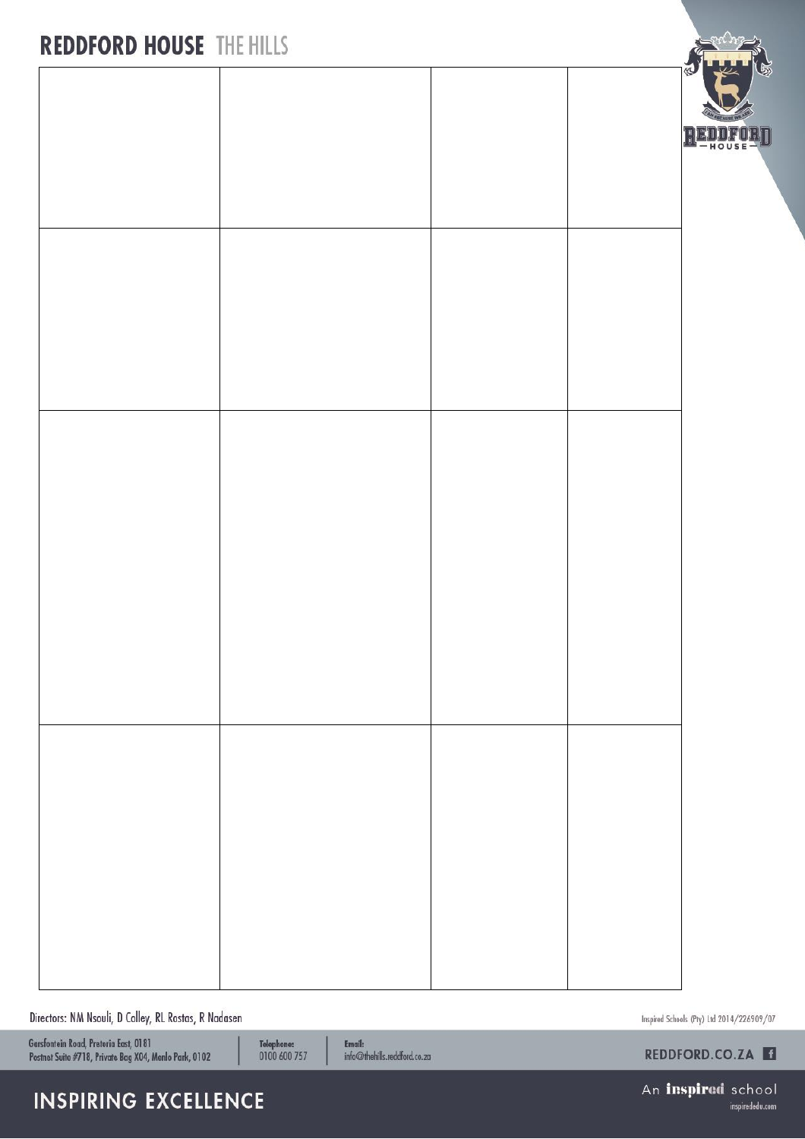|  |  |  |  |  |  |  | <b>REDDFORD HOUSE THE HILLS</b> |  |
|--|--|--|--|--|--|--|---------------------------------|--|
|--|--|--|--|--|--|--|---------------------------------|--|

| <b>REDDFORD HOUSE</b> THE HILLS |  |   |
|---------------------------------|--|---|
|                                 |  | E |
|                                 |  |   |
|                                 |  |   |
|                                 |  |   |
|                                 |  |   |
|                                 |  |   |
|                                 |  |   |
|                                 |  |   |
|                                 |  |   |
|                                 |  |   |
|                                 |  |   |
|                                 |  |   |

Directors: NM Nsouli, D Colley, RL Rostas, R Nadasen

Garsfontein Road, Pretoria East, 0181 Postnet Suite #718, Private Bag X04, Menlo Park, 0102 Email:<br>info@thehills.reddford.co.za

Inspired Schools (Pty) Ltd 2014/226909/07

REDDFORD.CO.ZA

**INSPIRING EXCELLENCE**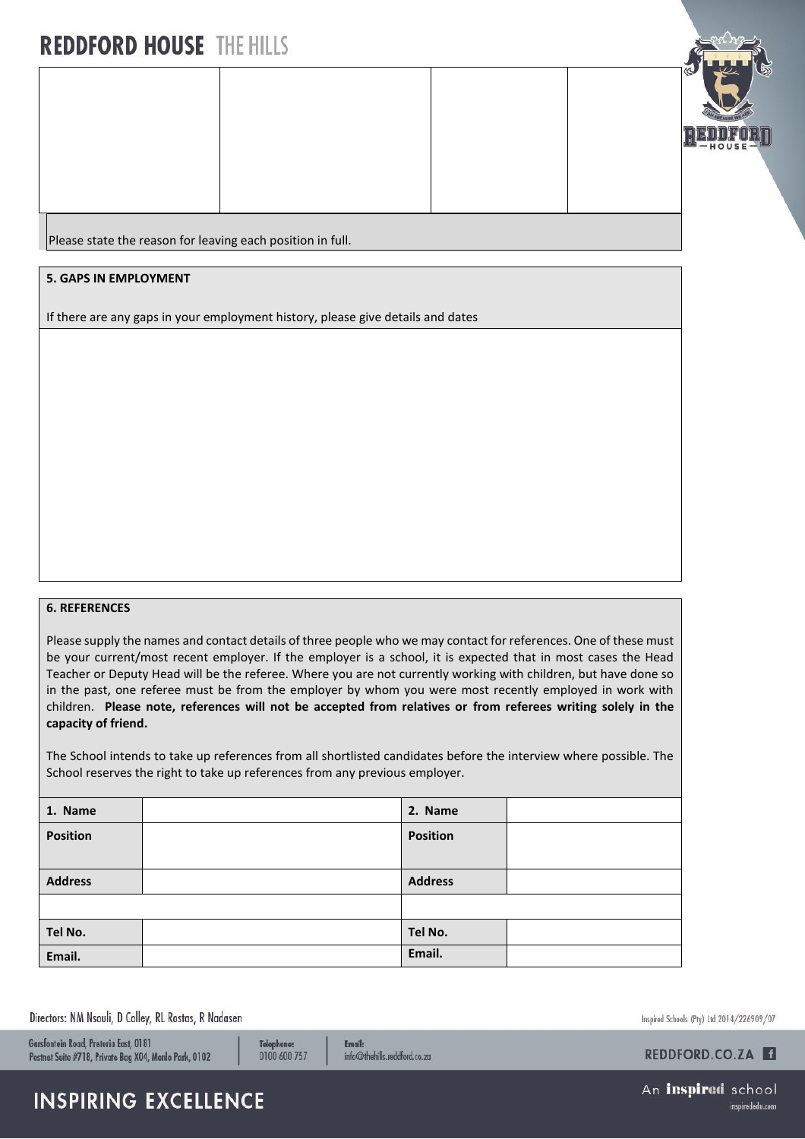

Please state the reason for leaving each position in full.

## **5. GAPS IN EMPLOYMENT**

If there are any gaps in your employment history, please give details and dates

### **6. REFERENCES**

Please supply the names and contact details of three people who we may contact for references. One of these must be your current/most recent employer. If the employer is a school, it is expected that in most cases the Head Teacher or Deputy Head will be the referee. Where you are not currently working with children, but have done so in the past, one referee must be from the employer by whom you were most recently employed in work with children. **Please note, references will not be accepted from relatives or from referees writing solely in the capacity of friend.**

The School intends to take up references from all shortlisted candidates before the interview where possible. The School reserves the right to take up references from any previous employer.

| 1. Name        | 2. Name         |  |
|----------------|-----------------|--|
| Position       | <b>Position</b> |  |
| <b>Address</b> | <b>Address</b>  |  |
|                |                 |  |
| Tel No.        | Tel No.         |  |
| Email.         | Email.          |  |

Directors: NM Nsouli, D Colley, RL Rostas, R Nadasen

Garsfontein Road, Pretoria East, 0181 Postnet Suite #718, Private Bag X04, Menlo Park, 0102

Telephone: 0100 600 757

info@thehills.reddford.co.za

Email:

Inspired Schools (Pty) Ltd 2014/226909/07

REDDFORD.CO.ZA

**INSPIRING EXCELLENCE**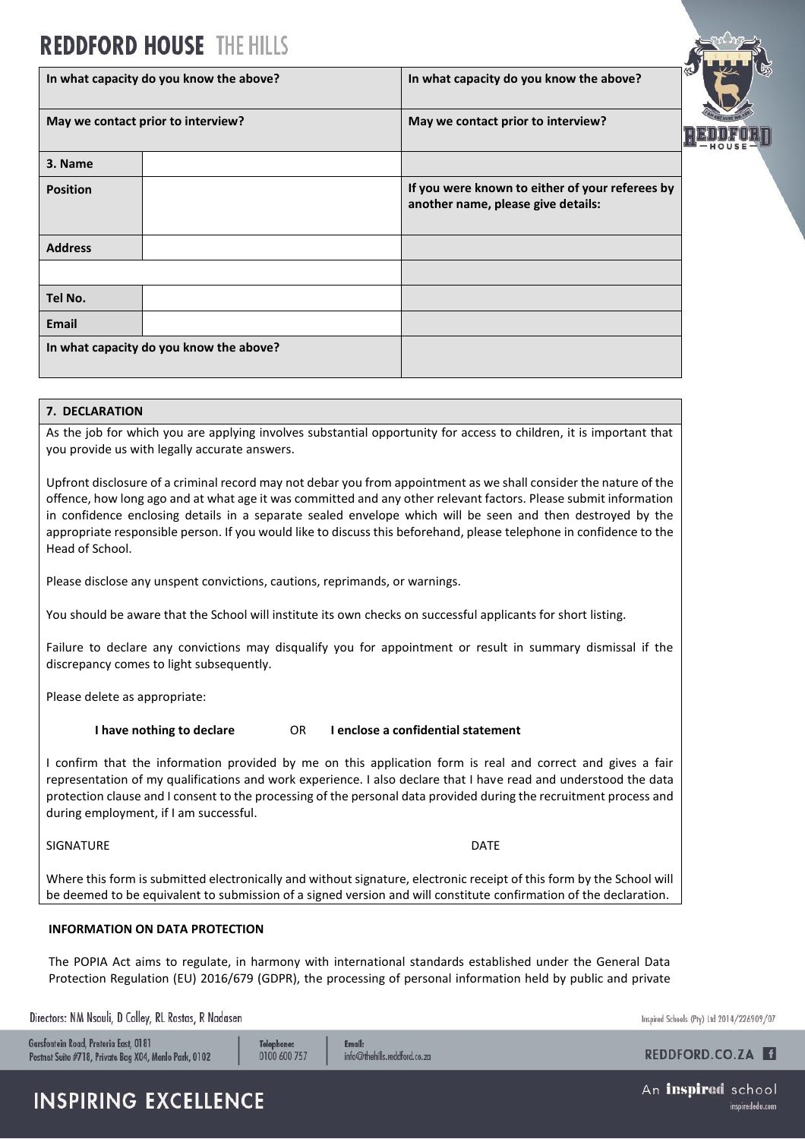| In what capacity do you know the above? |                                         | K<br>In what capacity do you know the above?                                          |
|-----------------------------------------|-----------------------------------------|---------------------------------------------------------------------------------------|
|                                         | May we contact prior to interview?      | May we contact prior to interview?                                                    |
| 3. Name                                 |                                         |                                                                                       |
| <b>Position</b>                         |                                         | If you were known to either of your referees by<br>another name, please give details: |
| <b>Address</b>                          |                                         |                                                                                       |
|                                         |                                         |                                                                                       |
| Tel No.                                 |                                         |                                                                                       |
| <b>Email</b>                            |                                         |                                                                                       |
|                                         | In what capacity do you know the above? |                                                                                       |

# **7. DECLARATION**

As the job for which you are applying involves substantial opportunity for access to children, it is important that you provide us with legally accurate answers.

Upfront disclosure of a criminal record may not debar you from appointment as we shall consider the nature of the offence, how long ago and at what age it was committed and any other relevant factors. Please submit information in confidence enclosing details in a separate sealed envelope which will be seen and then destroyed by the appropriate responsible person. If you would like to discuss this beforehand, please telephone in confidence to the Head of School.

Please disclose any unspent convictions, cautions, reprimands, or warnings.

You should be aware that the School will institute its own checks on successful applicants for short listing.

Failure to declare any convictions may disqualify you for appointment or result in summary dismissal if the discrepancy comes to light subsequently.

Please delete as appropriate:

### **I have nothing to declare** OR **I enclose a confidential statement**

I confirm that the information provided by me on this application form is real and correct and gives a fair representation of my qualifications and work experience. I also declare that I have read and understood the data protection clause and I consent to the processing of the personal data provided during the recruitment process and during employment, if I am successful.

SIGNATURE DATE

Where this form is submitted electronically and without signature, electronic receipt of this form by the School will be deemed to be equivalent to submission of a signed version and will constitute confirmation of the declaration.

### **INFORMATION ON DATA PROTECTION**

The POPIA Act aims to regulate, in harmony with international standards established under the General Data Protection Regulation (EU) 2016/679 (GDPR), the processing of personal information held by public and private

Directors: NM Nsouli, D Colley, RL Rostas, R Nadasen

Garsfontein Road, Pretoria East, 0181 Postnet Suite #718, Private Bag X04, Menlo Park, 0102

**Telephone:** 0100 600 757 Fmailinfo@thehills.reddford.co.za Inspired Schools (Pty) Ltd 2014/226909/07

REDDFORD.CO.ZA

**INSPIRING EXCELLENCE**